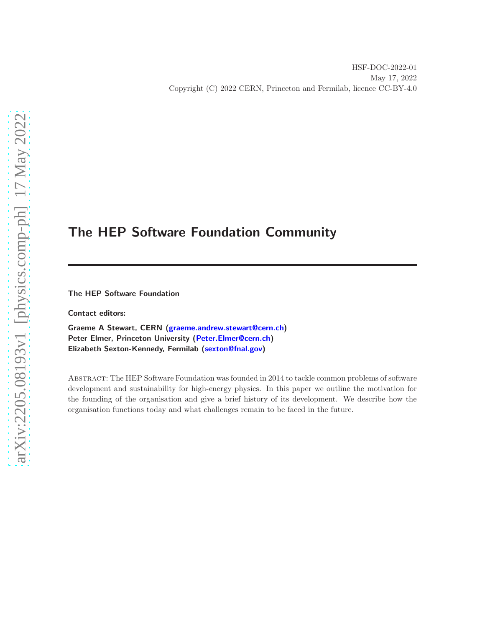# The HEP Software Foundation Community

The HEP Software Foundation

Contact editors:

Graeme A Stewart, CERN [\(graeme.andrew.stewart@cern.ch\)](mailto:graeme.andrew.stewart@cern.ch) Peter Elmer, Princeton University [\(Peter.Elmer@cern.ch\)](mailto:Peter.Elmer@cern.ch) Elizabeth Sexton-Kennedy, Fermilab [\(sexton@fnal.gov\)](mailto:sexton@fnal.gov)

Abstract: The HEP Software Foundation was founded in 2014 to tackle common problems of software development and sustainability for high-energy physics. In this paper we outline the motivation for the founding of the organisation and give a brief history of its development. We describe how the organisation functions today and what challenges remain to be faced in the future.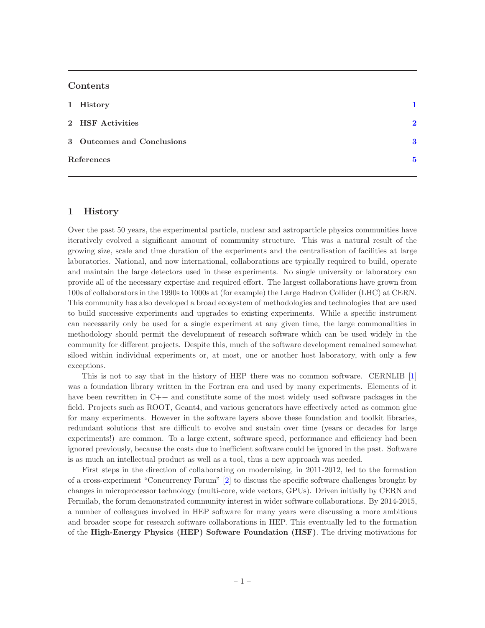## Contents

| 2 HSF Activities           | $\mathbf{2}$ |
|----------------------------|--------------|
| 3 Outcomes and Conclusions | 3            |
| References                 | 5            |

## <span id="page-1-0"></span>1 History

Over the past 50 years, the experimental particle, nuclear and astroparticle physics communities have iteratively evolved a significant amount of community structure. This was a natural result of the growing size, scale and time duration of the experiments and the centralisation of facilities at large laboratories. National, and now international, collaborations are typically required to build, operate and maintain the large detectors used in these experiments. No single university or laboratory can provide all of the necessary expertise and required effort. The largest collaborations have grown from 100s of collaborators in the 1990s to 1000s at (for example) the Large Hadron Collider (LHC) at CERN. This community has also developed a broad ecosystem of methodologies and technologies that are used to build successive experiments and upgrades to existing experiments. While a specific instrument can necessarily only be used for a single experiment at any given time, the large commonalities in methodology should permit the development of research software which can be used widely in the community for different projects. Despite this, much of the software development remained somewhat siloed within individual experiments or, at most, one or another host laboratory, with only a few exceptions.

This is not to say that in the history of HEP there was no common software. CERNLIB [\[1\]](#page-5-1) was a foundation library written in the Fortran era and used by many experiments. Elements of it have been rewritten in C++ and constitute some of the most widely used software packages in the field. Projects such as ROOT, Geant4, and various generators have effectively acted as common glue for many experiments. However in the software layers above these foundation and toolkit libraries, redundant solutions that are difficult to evolve and sustain over time (years or decades for large experiments!) are common. To a large extent, software speed, performance and efficiency had been ignored previously, because the costs due to inefficient software could be ignored in the past. Software is as much an intellectual product as well as a tool, thus a new approach was needed.

First steps in the direction of collaborating on modernising, in 2011-2012, led to the formation of a cross-experiment "Concurrency Forum" [\[2](#page-5-2)] to discuss the specific software challenges brought by changes in microprocessor technology (multi-core, wide vectors, GPUs). Driven initially by CERN and Fermilab, the forum demonstrated community interest in wider software collaborations. By 2014-2015, a number of colleagues involved in HEP software for many years were discussing a more ambitious and broader scope for research software collaborations in HEP. This eventually led to the formation of the High-Energy Physics (HEP) Software Foundation (HSF). The driving motivations for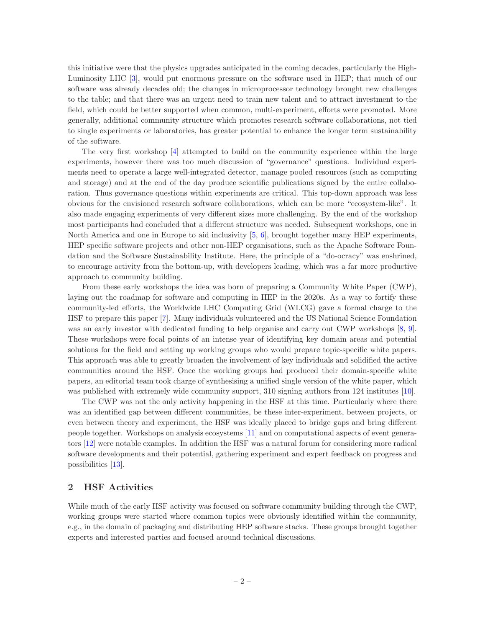this initiative were that the physics upgrades anticipated in the coming decades, particularly the High-Luminosity LHC [\[3](#page-5-3)], would put enormous pressure on the software used in HEP; that much of our software was already decades old; the changes in microprocessor technology brought new challenges to the table; and that there was an urgent need to train new talent and to attract investment to the field, which could be better supported when common, multi-experiment, efforts were promoted. More generally, additional community structure which promotes research software collaborations, not tied to single experiments or laboratories, has greater potential to enhance the longer term sustainability of the software.

The very first workshop [\[4\]](#page-5-4) attempted to build on the community experience within the large experiments, however there was too much discussion of "governance" questions. Individual experiments need to operate a large well-integrated detector, manage pooled resources (such as computing and storage) and at the end of the day produce scientific publications signed by the entire collaboration. Thus governance questions within experiments are critical. This top-down approach was less obvious for the envisioned research software collaborations, which can be more "ecosystem-like". It also made engaging experiments of very different sizes more challenging. By the end of the workshop most participants had concluded that a different structure was needed. Subsequent workshops, one in North America and one in Europe to aid inclusivity [\[5,](#page-5-5) [6](#page-5-6)], brought together many HEP experiments, HEP specific software projects and other non-HEP organisations, such as the Apache Software Foundation and the Software Sustainability Institute. Here, the principle of a "do-ocracy" was enshrined, to encourage activity from the bottom-up, with developers leading, which was a far more productive approach to community building.

From these early workshops the idea was born of preparing a Community White Paper (CWP), laying out the roadmap for software and computing in HEP in the 2020s. As a way to fortify these community-led efforts, the Worldwide LHC Computing Grid (WLCG) gave a formal charge to the HSF to prepare this paper [\[7\]](#page-5-7). Many individuals volunteered and the US National Science Foundation was an early investor with dedicated funding to help organise and carry out CWP workshops [\[8](#page-5-8), [9\]](#page-5-9). These workshops were focal points of an intense year of identifying key domain areas and potential solutions for the field and setting up working groups who would prepare topic-specific white papers. This approach was able to greatly broaden the involvement of key individuals and solidified the active communities around the HSF. Once the working groups had produced their domain-specific white papers, an editorial team took charge of synthesising a unified single version of the white paper, which was published with extremely wide community support, 310 signing authors from 124 institutes [\[10\]](#page-5-10).

The CWP was not the only activity happening in the HSF at this time. Particularly where there was an identified gap between different communities, be these inter-experiment, between projects, or even between theory and experiment, the HSF was ideally placed to bridge gaps and bring different people together. Workshops on analysis ecosystems [\[11](#page-5-11)] and on computational aspects of event generators [\[12\]](#page-5-12) were notable examples. In addition the HSF was a natural forum for considering more radical software developments and their potential, gathering experiment and expert feedback on progress and possibilities [\[13](#page-5-13)].

#### <span id="page-2-0"></span>2 HSF Activities

While much of the early HSF activity was focused on software community building through the CWP, working groups were started where common topics were obviously identified within the community, e.g., in the domain of packaging and distributing HEP software stacks. These groups brought together experts and interested parties and focused around technical discussions.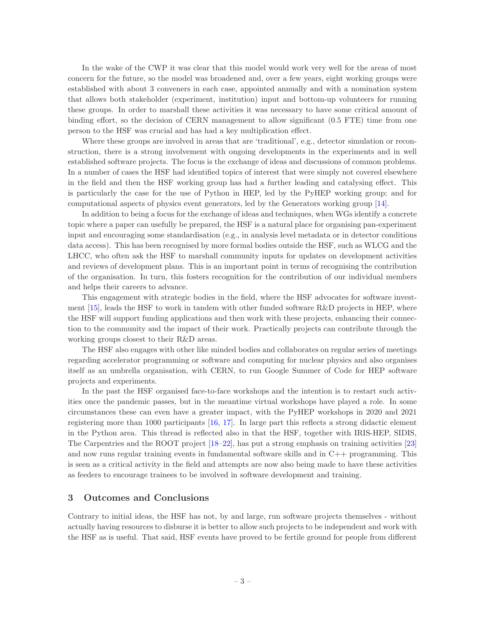In the wake of the CWP it was clear that this model would work very well for the areas of most concern for the future, so the model was broadened and, over a few years, eight working groups were established with about 3 conveners in each case, appointed annually and with a nomination system that allows both stakeholder (experiment, institution) input and bottom-up volunteers for running these groups. In order to marshall these activities it was necessary to have some critical amount of binding effort, so the decision of CERN management to allow significant (0.5 FTE) time from one person to the HSF was crucial and has had a key multiplication effect.

Where these groups are involved in areas that are 'traditional', e.g., detector simulation or reconstruction, there is a strong involvement with ongoing developments in the experiments and in well established software projects. The focus is the exchange of ideas and discussions of common problems. In a number of cases the HSF had identified topics of interest that were simply not covered elsewhere in the field and then the HSF working group has had a further leading and catalysing effect. This is particularly the case for the use of Python in HEP, led by the PyHEP working group; and for computational aspects of physics event generators, led by the Generators working group [\[14](#page-5-14)].

In addition to being a focus for the exchange of ideas and techniques, when WGs identify a concrete topic where a paper can usefully be prepared, the HSF is a natural place for organising pan-experiment input and encouraging some standardisation (e.g., in analysis level metadata or in detector conditions data access). This has been recognised by more formal bodies outside the HSF, such as WLCG and the LHCC, who often ask the HSF to marshall community inputs for updates on development activities and reviews of development plans. This is an important point in terms of recognising the contribution of the organisation. In turn, this fosters recognition for the contribution of our individual members and helps their careers to advance.

This engagement with strategic bodies in the field, where the HSF advocates for software investment  $[15]$ , leads the HSF to work in tandem with other funded software R&D projects in HEP, where the HSF will support funding applications and then work with these projects, enhancing their connection to the community and the impact of their work. Practically projects can contribute through the working groups closest to their R&D areas.

The HSF also engages with other like minded bodies and collaborates on regular series of meetings regarding accelerator programming or software and computing for nuclear physics and also organises itself as an umbrella organisation, with CERN, to run Google Summer of Code for HEP software projects and experiments.

In the past the HSF organised face-to-face workshops and the intention is to restart such activities once the pandemic passes, but in the meantime virtual workshops have played a role. In some circumstances these can even have a greater impact, with the PyHEP workshops in 2020 and 2021 registering more than 1000 participants [\[16](#page-5-16), [17\]](#page-5-17). In large part this reflects a strong didactic element in the Python area. This thread is reflected also in that the HSF, together with IRIS-HEP, SIDIS, The Carpentries and the ROOT project [\[18](#page-5-18)[–22](#page-6-0)], has put a strong emphasis on training activities [\[23\]](#page-6-1) and now runs regular training events in fundamental software skills and in C++ programming. This is seen as a critical activity in the field and attempts are now also being made to have these activities as feeders to encourage trainees to be involved in software development and training.

#### <span id="page-3-0"></span>3 Outcomes and Conclusions

Contrary to initial ideas, the HSF has not, by and large, run software projects themselves - without actually having resources to disburse it is better to allow such projects to be independent and work with the HSF as is useful. That said, HSF events have proved to be fertile ground for people from different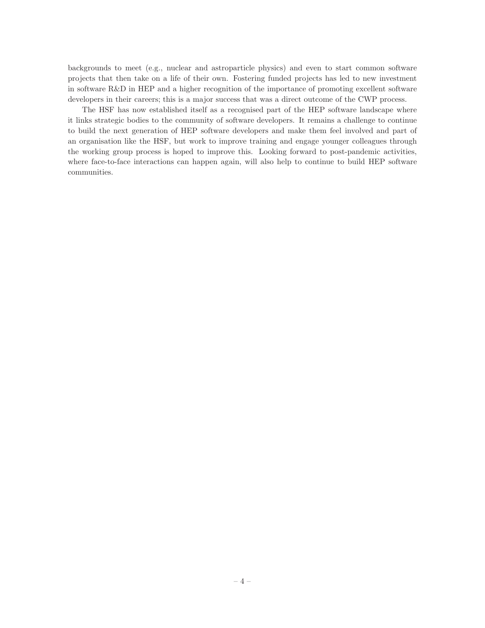backgrounds to meet (e.g., nuclear and astroparticle physics) and even to start common software projects that then take on a life of their own. Fostering funded projects has led to new investment in software R&D in HEP and a higher recognition of the importance of promoting excellent software developers in their careers; this is a major success that was a direct outcome of the CWP process.

The HSF has now established itself as a recognised part of the HEP software landscape where it links strategic bodies to the community of software developers. It remains a challenge to continue to build the next generation of HEP software developers and make them feel involved and part of an organisation like the HSF, but work to improve training and engage younger colleagues through the working group process is hoped to improve this. Looking forward to post-pandemic activities, where face-to-face interactions can happen again, will also help to continue to build HEP software communities.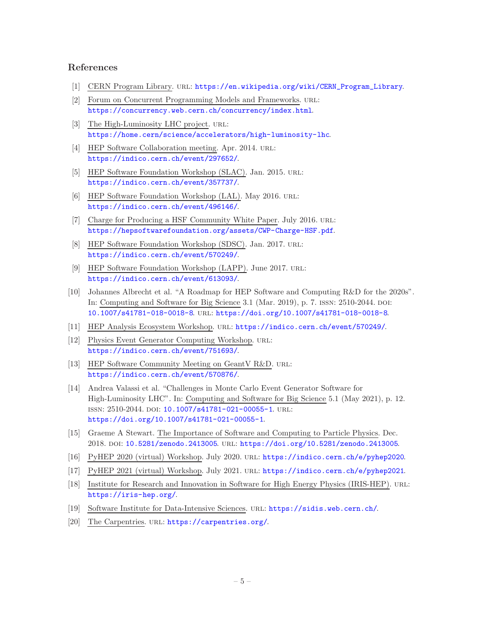# <span id="page-5-1"></span><span id="page-5-0"></span>References

- <span id="page-5-2"></span>[1] CERN Program Library. url: [https://en.wikipedia.org/wiki/CERN\\_Program\\_Library](https://en.wikipedia.org/wiki/CERN_Program_Library).
- [2] Forum on Concurrent Programming Models and Frameworks. URL: <https://concurrency.web.cern.ch/concurrency/index.html>.
- <span id="page-5-3"></span>[3] The High-Luminosity LHC project. URL: <https://home.cern/science/accelerators/high-luminosity-lhc>.
- <span id="page-5-4"></span>[4] HEP Software Collaboration meeting. Apr. 2014. URL: <https://indico.cern.ch/event/297652/>.
- <span id="page-5-5"></span>[5] HEP Software Foundation Workshop (SLAC). Jan. 2015. URL: <https://indico.cern.ch/event/357737/>.
- <span id="page-5-6"></span>[6] HEP Software Foundation Workshop (LAL). May 2016. URL: <https://indico.cern.ch/event/496146/>.
- <span id="page-5-7"></span>[7] Charge for Producing a HSF Community White Paper. July 2016. URL: <https://hepsoftwarefoundation.org/assets/CWP-Charge-HSF.pdf>.
- <span id="page-5-8"></span>[8] HEP Software Foundation Workshop (SDSC). Jan. 2017. URL: <https://indico.cern.ch/event/570249/>.
- <span id="page-5-9"></span>[9] HEP Software Foundation Workshop (LAPP). June 2017. URL: <https://indico.cern.ch/event/613093/>.
- <span id="page-5-10"></span>[10] Johannes Albrecht et al. "A Roadmap for HEP Software and Computing R&D for the 2020s". In: Computing and Software for Big Science 3.1 (Mar. 2019), p. 7. ISSN: 2510-2044. DOI: [10.1007/s41781-018-0018-8](https://doi.org/10.1007/s41781-018-0018-8). url: <https://doi.org/10.1007/s41781-018-0018-8>.
- <span id="page-5-12"></span><span id="page-5-11"></span>[11] HEP Analysis Ecosystem Workshop. url: <https://indico.cern.ch/event/570249/>.
- [12] Physics Event Generator Computing Workshop. URL: <https://indico.cern.ch/event/751693/>.
- <span id="page-5-13"></span>[13] HEP Software Community Meeting on GeantV R&D. URL: <https://indico.cern.ch/event/570876/>.
- <span id="page-5-14"></span>[14] Andrea Valassi et al. "Challenges in Monte Carlo Event Generator Software for High-Luminosity LHC". In: Computing and Software for Big Science 5.1 (May 2021), p. 12. ISSN: 2510-2044. DOI: [10.1007/s41781-021-00055-1](https://doi.org/10.1007/s41781-021-00055-1). URL: <https://doi.org/10.1007/s41781-021-00055-1>.
- <span id="page-5-15"></span>[15] Graeme A Stewart. The Importance of Software and Computing to Particle Physics. Dec. 2018. doi: [10.5281/zenodo.2413005](https://doi.org/10.5281/zenodo.2413005). url: <https://doi.org/10.5281/zenodo.2413005>.
- <span id="page-5-17"></span><span id="page-5-16"></span>[16] PyHEP 2020 (virtual) Workshop. July 2020. url: <https://indico.cern.ch/e/pyhep2020>.
- <span id="page-5-18"></span>[17] PyHEP 2021 (virtual) Workshop. July 2021. url: <https://indico.cern.ch/e/pyhep2021>.
- [18] Institute for Research and Innovation in Software for High Energy Physics (IRIS-HEP). URL: <https://iris-hep.org/>.
- [19] Software Institute for Data-Intensive Sciences. url: <https://sidis.web.cern.ch/>.
- [20] The Carpentries. URL: <https://carpentries.org/>.